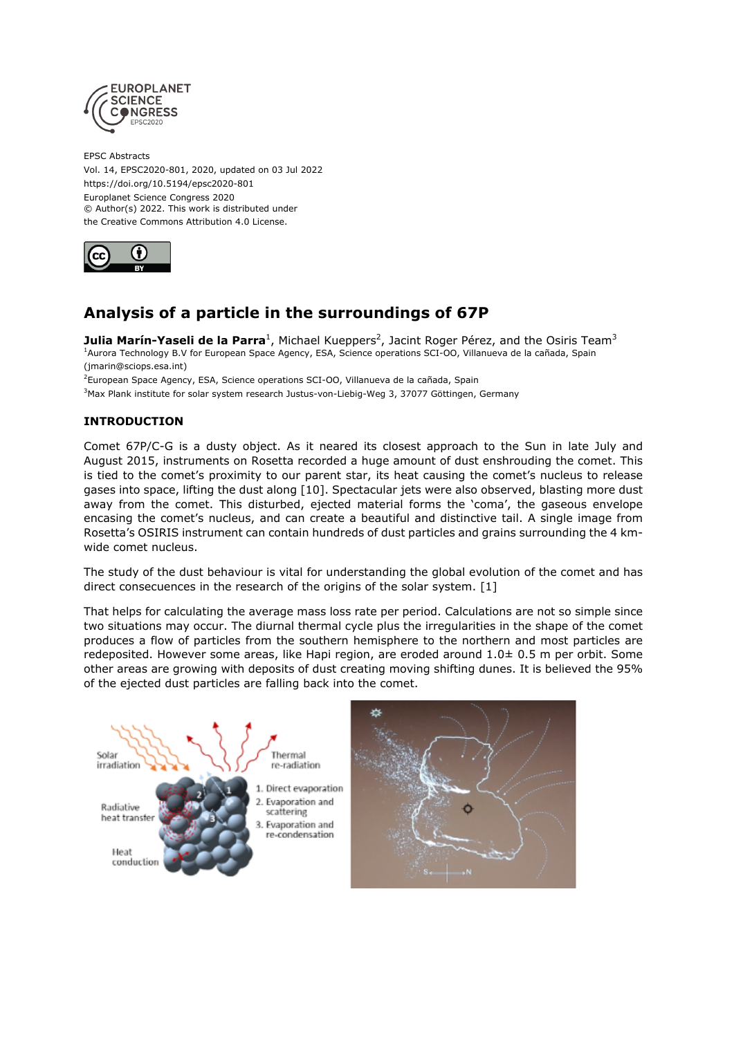

EPSC Abstracts Vol. 14, EPSC2020-801, 2020, updated on 03 Jul 2022 https://doi.org/10.5194/epsc2020-801 Europlanet Science Congress 2020 © Author(s) 2022. This work is distributed under the Creative Commons Attribution 4.0 License.



# **Analysis of a particle in the surroundings of 67P**

**Julia Marín-Yaseli de la Parra<sup>1</sup>,** Michael Kueppers<sup>2</sup>, Jacint Roger Pérez, and the Osiris Team<sup>3</sup> <sup>1</sup>Aurora Technology B.V for European Space Agency, ESA, Science operations SCI-OO, Villanueva de la cañada, Spain (jmarin@sciops.esa.int)

<sup>2</sup>European Space Agency, ESA, Science operations SCI-OO, Villanueva de la cañada, Spain

<sup>3</sup>Max Plank institute for solar system research Justus-von-Liebig-Weg 3, 37077 Göttingen, Germany

# **INTRODUCTION**

Comet 67P/C-G is a dusty object. As it neared its closest approach to the Sun in late July and August 2015, instruments on Rosetta recorded a huge amount of dust enshrouding the comet. This is tied to the comet's proximity to our parent star, its heat causing the comet's nucleus to release gases into space, lifting the dust along [10]. Spectacular jets were also observed, blasting more dust away from the comet. This disturbed, ejected material forms the 'coma', the gaseous envelope encasing the comet's nucleus, and can create a beautiful and distinctive tail. A single image from Rosetta's OSIRIS instrument can contain hundreds of dust particles and grains surrounding the 4 kmwide comet nucleus.

The study of the dust behaviour is vital for understanding the global evolution of the comet and has direct consecuences in the research of the origins of the solar system. [1]

That helps for calculating the average mass loss rate per period. Calculations are not so simple since two situations may occur. The diurnal thermal cycle plus the irregularities in the shape of the comet produces a flow of particles from the southern hemisphere to the northern and most particles are redeposited. However some areas, like Hapi region, are eroded around 1.0± 0.5 m per orbit. Some other areas are growing with deposits of dust creating moving shifting dunes. It is believed the 95% of the ejected dust particles are falling back into the comet.

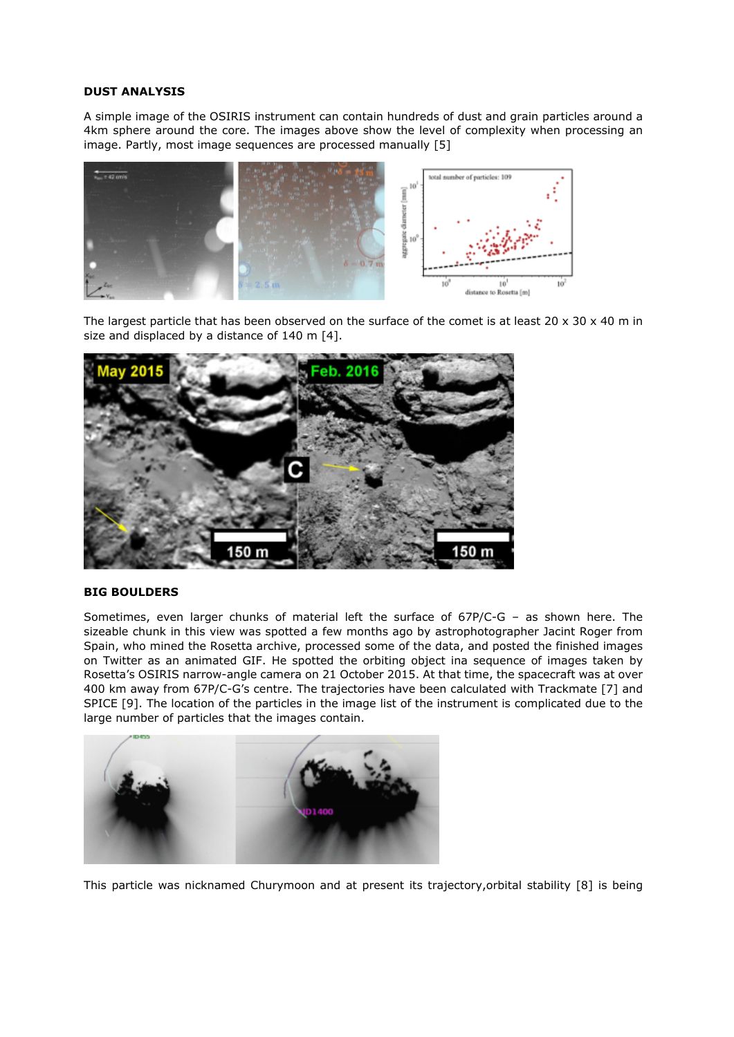### **DUST ANALYSIS**

A simple image of the OSIRIS instrument can contain hundreds of dust and grain particles around a 4km sphere around the core. The images above show the level of complexity when processing an image. Partly, most image sequences are processed manually [5]



The largest particle that has been observed on the surface of the comet is at least 20 x 30 x 40 m in size and displaced by a distance of 140 m [4].



#### **BIG BOULDERS**

Sometimes, even larger chunks of material left the surface of 67P/C-G – as shown here. The sizeable chunk in this view was spotted a few months ago by astrophotographer Jacint Roger from Spain, who mined the Rosetta archive, processed some of the data, and posted the finished images on Twitter as an animated GIF. He spotted the orbiting object ina sequence of images taken by Rosetta's OSIRIS narrow-angle camera on 21 October 2015. At that time, the spacecraft was at over 400 km away from 67P/C-G's centre. The trajectories have been calculated with Trackmate [7] and SPICE [9]. The location of the particles in the image list of the instrument is complicated due to the large number of particles that the images contain.



This particle was nicknamed Churymoon and at present its trajectory,orbital stability [8] is being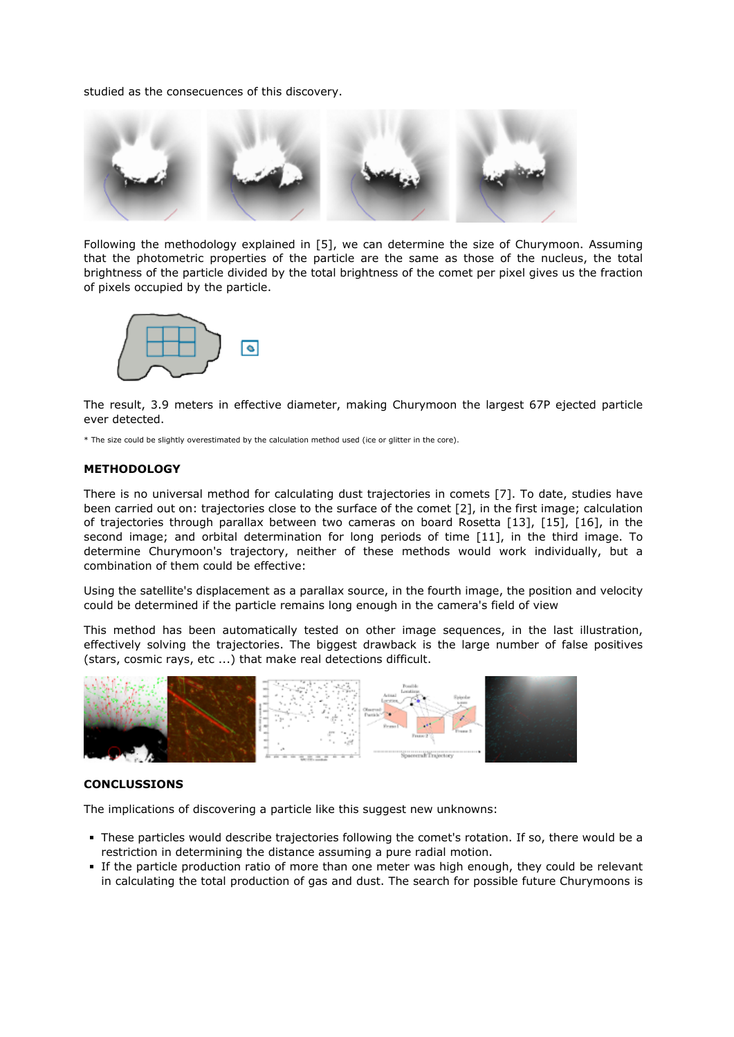studied as the consecuences of this discovery.



Following the methodology explained in [5], we can determine the size of Churymoon. Assuming that the photometric properties of the particle are the same as those of the nucleus, the total brightness of the particle divided by the total brightness of the comet per pixel gives us the fraction of pixels occupied by the particle.



The result, 3.9 meters in effective diameter, making Churymoon the largest 67P ejected particle ever detected.

\* The size could be slightly overestimated by the calculation method used (ice or glitter in the core).

#### **METHODOLOGY**

There is no universal method for calculating dust trajectories in comets [7]. To date, studies have been carried out on: trajectories close to the surface of the comet [2], in the first image; calculation of trajectories through parallax between two cameras on board Rosetta [13], [15], [16], in the second image; and orbital determination for long periods of time [11], in the third image. To determine Churymoon's trajectory, neither of these methods would work individually, but a combination of them could be effective:

Using the satellite's displacement as a parallax source, in the fourth image, the position and velocity could be determined if the particle remains long enough in the camera's field of view

This method has been automatically tested on other image sequences, in the last illustration, effectively solving the trajectories. The biggest drawback is the large number of false positives (stars, cosmic rays, etc ...) that make real detections difficult.



#### **CONCLUSSIONS**

The implications of discovering a particle like this suggest new unknowns:

- These particles would describe trajectories following the comet's rotation. If so, there would be a restriction in determining the distance assuming a pure radial motion.
- If the particle production ratio of more than one meter was high enough, they could be relevant in calculating the total production of gas and dust. The search for possible future Churymoons is